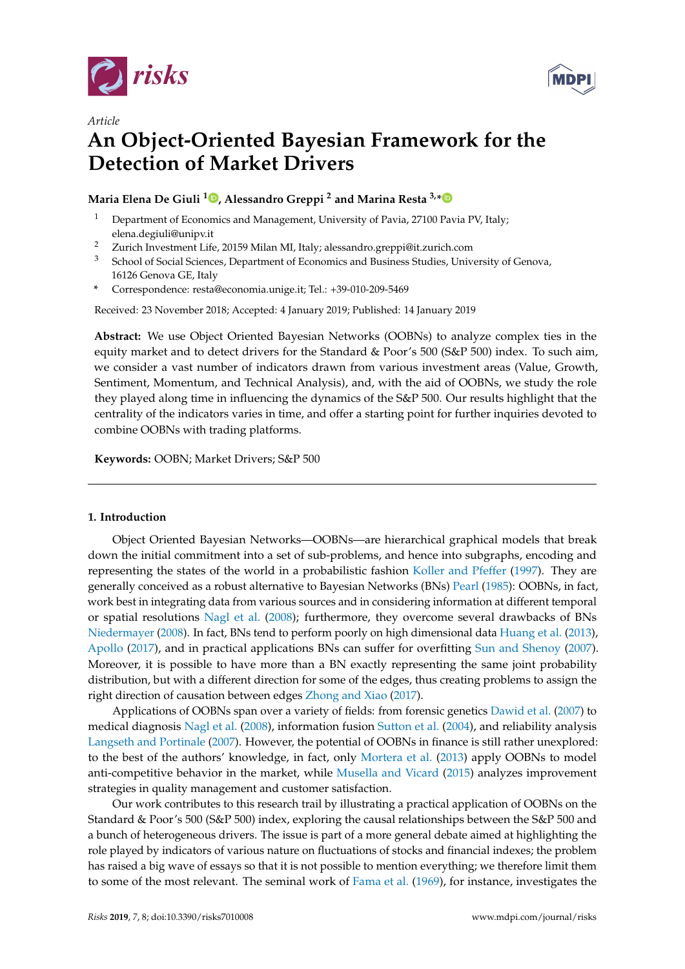

*Article*



# **An Object-Oriented Bayesian Framework for the Detection of Market Drivers**

# **Maria Elena De Giuli <sup>1</sup> [,](https://orcid.org/0000-0002-5221-0005) Alessandro Greppi <sup>2</sup> and Marina Resta 3,[\\*](https://orcid.org/0000-0003-0994-9151)**

- <sup>1</sup> Department of Economics and Management, University of Pavia, 27100 Pavia PV, Italy; elena.degiuli@unipv.it
- <sup>2</sup> Zurich Investment Life, 20159 Milan MI, Italy; alessandro.greppi@it.zurich.com
- <sup>3</sup> School of Social Sciences, Department of Economics and Business Studies, University of Genova, 16126 Genova GE, Italy
- **\*** Correspondence: resta@economia.unige.it; Tel.: +39-010-209-5469

Received: 23 November 2018; Accepted: 4 January 2019; Published: 14 January 2019

**Abstract:** We use Object Oriented Bayesian Networks (OOBNs) to analyze complex ties in the equity market and to detect drivers for the Standard & Poor's 500 (S&P 500) index. To such aim, we consider a vast number of indicators drawn from various investment areas (Value, Growth, Sentiment, Momentum, and Technical Analysis), and, with the aid of OOBNs, we study the role they played along time in influencing the dynamics of the S&P 500. Our results highlight that the centrality of the indicators varies in time, and offer a starting point for further inquiries devoted to combine OOBNs with trading platforms.

**Keywords:** OOBN; Market Drivers; S&P 500

# <span id="page-0-0"></span>**1. Introduction**

Object Oriented Bayesian Networks—OOBNs—are hierarchical graphical models that break down the initial commitment into a set of sub-problems, and hence into subgraphs, encoding and representing the states of the world in a probabilistic fashion [Koller and Pfeffer](#page-16-0) [\(1997\)](#page-16-0). They are generally conceived as a robust alternative to Bayesian Networks (BNs) [Pearl](#page-17-0) [\(1985\)](#page-17-0): OOBNs, in fact, work best in integrating data from various sources and in considering information at different temporal or spatial resolutions [Nagl et al.](#page-17-1) [\(2008\)](#page-17-1); furthermore, they overcome several drawbacks of BNs [Niedermayer](#page-17-2) [\(2008\)](#page-17-2). In fact, BNs tend to perform poorly on high dimensional data [Huang et al.](#page-16-1) [\(2013\)](#page-16-1), [Apollo](#page-16-2) [\(2017\)](#page-16-2), and in practical applications BNs can suffer for overfitting [Sun and Shenoy](#page-17-3) [\(2007\)](#page-17-3). Moreover, it is possible to have more than a BN exactly representing the same joint probability distribution, but with a different direction for some of the edges, thus creating problems to assign the right direction of causation between edges [Zhong and Xiao](#page-17-4) [\(2017\)](#page-17-4).

Applications of OOBNs span over a variety of fields: from forensic genetics [Dawid et al.](#page-16-3) [\(2007\)](#page-16-3) to medical diagnosis [Nagl et al.](#page-17-1) [\(2008\)](#page-17-1), information fusion [Sutton et al.](#page-17-5) [\(2004\)](#page-17-5), and reliability analysis [Langseth and Portinale](#page-16-4) [\(2007\)](#page-16-4). However, the potential of OOBNs in finance is still rather unexplored: to the best of the authors' knowledge, in fact, only [Mortera et al.](#page-17-6) [\(2013\)](#page-17-6) apply OOBNs to model anti-competitive behavior in the market, while [Musella and Vicard](#page-17-7) [\(2015\)](#page-17-7) analyzes improvement strategies in quality management and customer satisfaction.

Our work contributes to this research trail by illustrating a practical application of OOBNs on the Standard & Poor's 500 (S&P 500) index, exploring the causal relationships between the S&P 500 and a bunch of heterogeneous drivers. The issue is part of a more general debate aimed at highlighting the role played by indicators of various nature on fluctuations of stocks and financial indexes; the problem has raised a big wave of essays so that it is not possible to mention everything; we therefore limit them to some of the most relevant. The seminal work of [Fama et al.](#page-16-5) [\(1969\)](#page-16-5), for instance, investigates the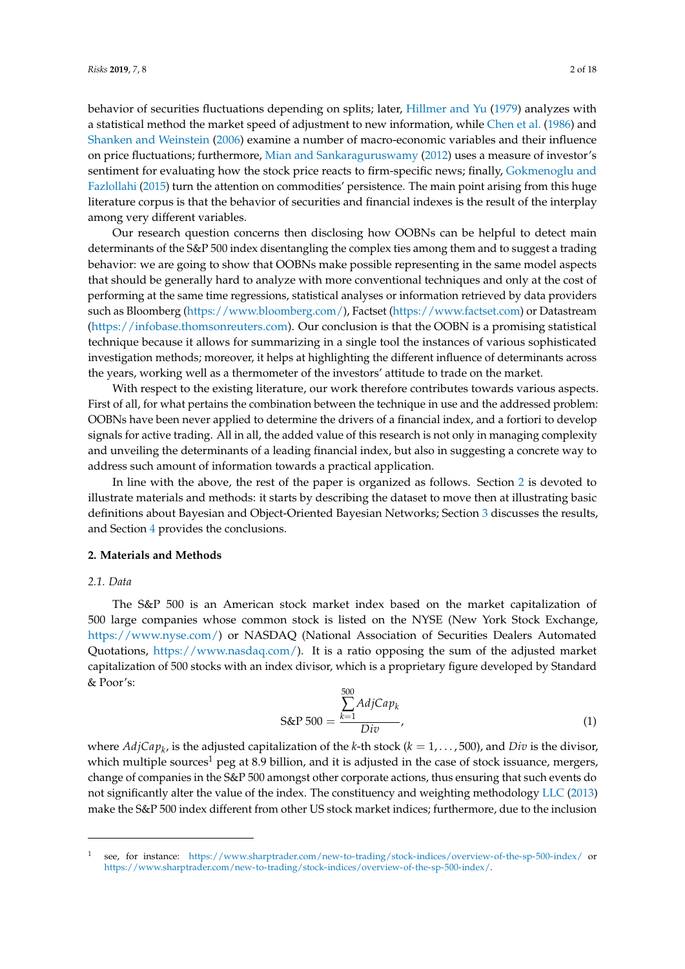behavior of securities fluctuations depending on splits; later, [Hillmer and Yu](#page-16-6) [\(1979\)](#page-16-6) analyzes with a statistical method the market speed of adjustment to new information, while [Chen et al.](#page-16-7) [\(1986\)](#page-16-7) and [Shanken and Weinstein](#page-17-8) [\(2006\)](#page-17-8) examine a number of macro-economic variables and their influence on price fluctuations; furthermore, [Mian and Sankaraguruswamy](#page-17-9) [\(2012\)](#page-17-9) uses a measure of investor's sentiment for evaluating how the stock price reacts to firm-specific news; finally, [Gokmenoglu and](#page-16-8) [Fazlollahi](#page-16-8) [\(2015\)](#page-16-8) turn the attention on commodities' persistence. The main point arising from this huge literature corpus is that the behavior of securities and financial indexes is the result of the interplay among very different variables.

Our research question concerns then disclosing how OOBNs can be helpful to detect main determinants of the S&P 500 index disentangling the complex ties among them and to suggest a trading behavior: we are going to show that OOBNs make possible representing in the same model aspects that should be generally hard to analyze with more conventional techniques and only at the cost of performing at the same time regressions, statistical analyses or information retrieved by data providers such as Bloomberg [\(https://www.bloomberg.com/\)](https://www.bloomberg.com/), Factset [\(https://www.factset.com\)](https://www.factset.com) or Datastream [\(https://infobase.thomsonreuters.com\)](https://infobase.thomsonreuters.com). Our conclusion is that the OOBN is a promising statistical technique because it allows for summarizing in a single tool the instances of various sophisticated investigation methods; moreover, it helps at highlighting the different influence of determinants across the years, working well as a thermometer of the investors' attitude to trade on the market.

With respect to the existing literature, our work therefore contributes towards various aspects. First of all, for what pertains the combination between the technique in use and the addressed problem: OOBNs have been never applied to determine the drivers of a financial index, and a fortiori to develop signals for active trading. All in all, the added value of this research is not only in managing complexity and unveiling the determinants of a leading financial index, but also in suggesting a concrete way to address such amount of information towards a practical application.

In line with the above, the rest of the paper is organized as follows. Section [2](#page-1-0) is devoted to illustrate materials and methods: it starts by describing the dataset to move then at illustrating basic definitions about Bayesian and Object-Oriented Bayesian Networks; Section [3](#page-9-0) discusses the results, and Section [4](#page-15-0) provides the conclusions.

# <span id="page-1-0"></span>**2. Materials and Methods**

#### *2.1. Data*

The S&P 500 is an American stock market index based on the market capitalization of 500 large companies whose common stock is listed on the NYSE (New York Stock Exchange, [https://www.nyse.com/\)](https://www.nyse.com/) or NASDAQ (National Association of Securities Dealers Automated Quotations, [https://www.nasdaq.com/\)](https://www.nasdaq.com/). It is a ratio opposing the sum of the adjusted market capitalization of 500 stocks with an index divisor, which is a proprietary figure developed by Standard & Poor's:

$$
\text{S\&P 500} = \frac{\sum_{k=1}^{500} \text{AdjCap}_k}{\text{Div}},\tag{1}
$$

where *AdjCap<sup>k</sup>* , is the adjusted capitalization of the *k*-th stock (*k* = 1, . . . , 500), and *Div* is the divisor, which multiple sources<sup>1</sup> peg at 8.9 billion, and it is adjusted in the case of stock issuance, mergers, change of companies in the S&P 500 amongst other corporate actions, thus ensuring that such events do not significantly alter the value of the index. The constituency and weighting methodology [LLC](#page-17-10) [\(2013\)](#page-17-10) make the S&P 500 index different from other US stock market indices; furthermore, due to the inclusion

<sup>1</sup> see, for instance: <https://www.sharptrader.com/new-to-trading/stock-indices/overview-of-the-sp-500-index/> or [https://www.sharptrader.com/new-to-trading/stock-indices/overview-of-the-sp-500-index/.](https://www.sharptrader.com/new-to-trading/stock-indices/overview-of-the-sp-500-index/)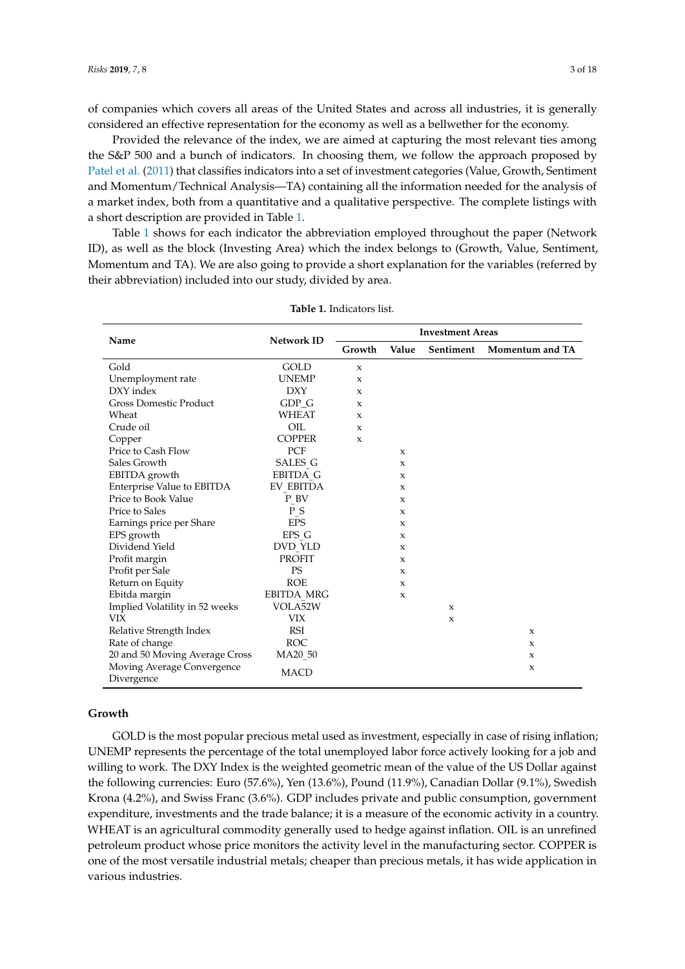of companies which covers all areas of the United States and across all industries, it is generally considered an effective representation for the economy as well as a bellwether for the economy.

Provided the relevance of the index, we are aimed at capturing the most relevant ties among the S&P 500 and a bunch of indicators. In choosing them, we follow the approach proposed by [Patel et al.](#page-17-11) [\(2011\)](#page-17-11) that classifies indicators into a set of investment categories (Value, Growth, Sentiment and Momentum/Technical Analysis—TA) containing all the information needed for the analysis of a market index, both from a quantitative and a qualitative perspective. The complete listings with a short description are provided in Table [1.](#page-2-0)

Table [1](#page-2-0) shows for each indicator the abbreviation employed throughout the paper (Network ID), as well as the block (Investing Area) which the index belongs to (Growth, Value, Sentiment, Momentum and TA). We are also going to provide a short explanation for the variables (referred by their abbreviation) included into our study, divided by area.

<span id="page-2-0"></span>

| Name                                     | Network ID          | <b>Investment Areas</b> |                     |                     |                 |
|------------------------------------------|---------------------|-------------------------|---------------------|---------------------|-----------------|
|                                          |                     | Growth                  | Value               | Sentiment           | Momentum and TA |
| Gold                                     | GOLD                | X                       |                     |                     |                 |
| Unemployment rate                        | <b>UNEMP</b>        | X                       |                     |                     |                 |
| DXY index                                | <b>DXY</b>          | X                       |                     |                     |                 |
| <b>Gross Domestic Product</b>            | $GDP_G$             | X                       |                     |                     |                 |
| Wheat                                    | <b>WHEAT</b>        | X                       |                     |                     |                 |
| Crude oil                                | OIL                 | X                       |                     |                     |                 |
| Copper                                   | <b>COPPER</b>       | X                       |                     |                     |                 |
| Price to Cash Flow                       | PCF                 |                         | $\boldsymbol{\chi}$ |                     |                 |
| Sales Growth                             | SALES G             |                         | X                   |                     |                 |
| EBITDA growth                            | <b>EBITDA G</b>     |                         | $\boldsymbol{\chi}$ |                     |                 |
| Enterprise Value to EBITDA               | <b>EV EBITDA</b>    |                         | X                   |                     |                 |
| Price to Book Value                      | P BV                |                         | X                   |                     |                 |
| Price to Sales                           | $P_S$               |                         | X                   |                     |                 |
| Earnings price per Share                 | <b>EPS</b>          |                         | X                   |                     |                 |
| EPS growth                               | EPS G               |                         | $\boldsymbol{\chi}$ |                     |                 |
| Dividend Yield                           | <b>DVD YLD</b>      |                         | $\mathsf X$         |                     |                 |
| Profit margin                            | <b>PROFIT</b>       |                         | $\mathsf X$         |                     |                 |
| Profit per Sale                          | <b>PS</b>           |                         | $\mathsf X$         |                     |                 |
| Return on Equity                         | <b>ROE</b>          |                         | X                   |                     |                 |
| Ebitda margin                            | <b>EBITDA MRG</b>   |                         | X                   |                     |                 |
| Implied Volatility in 52 weeks           | VOLA52W             |                         |                     | $\mathbf{x}$        |                 |
| VIX                                      | <b>VIX</b>          |                         |                     | $\boldsymbol{\chi}$ |                 |
| Relative Strength Index                  | <b>RSI</b>          |                         |                     |                     | $\mathbf x$     |
| Rate of change                           | <b>ROC</b>          |                         |                     |                     | X               |
| 20 and 50 Moving Average Cross           | MA <sub>20</sub> 50 |                         |                     |                     | X               |
| Moving Average Convergence<br>Divergence | <b>MACD</b>         |                         |                     |                     | X               |

# **Growth**

GOLD is the most popular precious metal used as investment, especially in case of rising inflation; UNEMP represents the percentage of the total unemployed labor force actively looking for a job and willing to work. The DXY Index is the weighted geometric mean of the value of the US Dollar against the following currencies: Euro (57.6%), Yen (13.6%), Pound (11.9%), Canadian Dollar (9.1%), Swedish Krona (4.2%), and Swiss Franc (3.6%). GDP includes private and public consumption, government expenditure, investments and the trade balance; it is a measure of the economic activity in a country. WHEAT is an agricultural commodity generally used to hedge against inflation. OIL is an unrefined petroleum product whose price monitors the activity level in the manufacturing sector. COPPER is one of the most versatile industrial metals; cheaper than precious metals, it has wide application in various industries.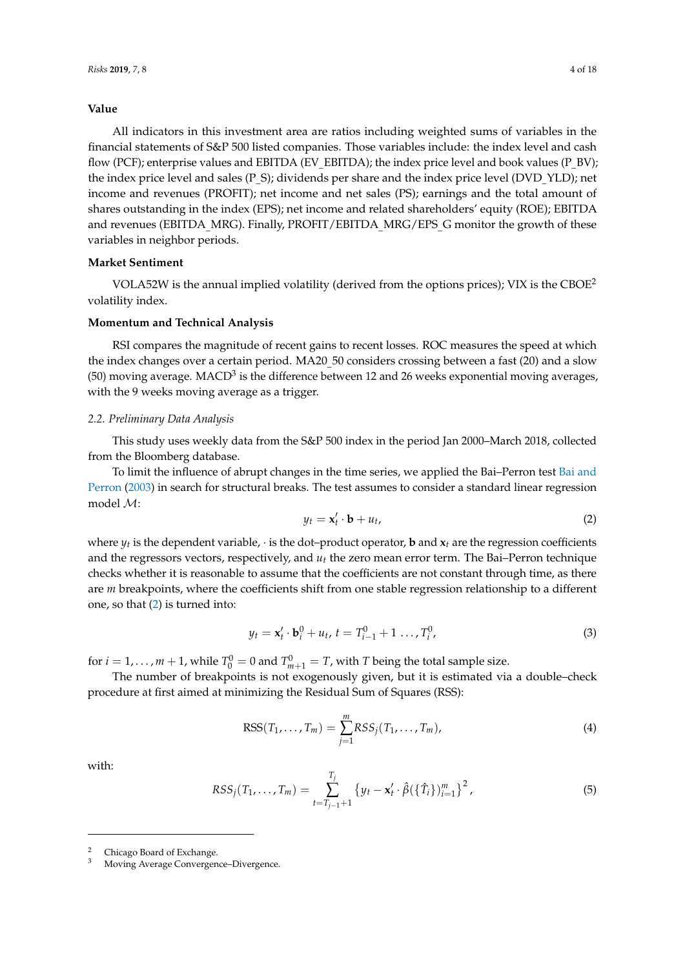# **Value**

All indicators in this investment area are ratios including weighted sums of variables in the financial statements of S&P 500 listed companies. Those variables include: the index level and cash flow (PCF); enterprise values and EBITDA (EV\_EBITDA); the index price level and book values (P\_BV); the index price level and sales (P\_S); dividends per share and the index price level (DVD\_YLD); net income and revenues (PROFIT); net income and net sales (PS); earnings and the total amount of shares outstanding in the index (EPS); net income and related shareholders' equity (ROE); EBITDA and revenues (EBITDA\_MRG). Finally, PROFIT/EBITDA\_MRG/EPS\_G monitor the growth of these variables in neighbor periods.

# **Market Sentiment**

VOLA52W is the annual implied volatility (derived from the options prices); VIX is the CBOE<sup>2</sup> volatility index.

# **Momentum and Technical Analysis**

RSI compares the magnitude of recent gains to recent losses. ROC measures the speed at which the index changes over a certain period. MA20  $50$  considers crossing between a fast (20) and a slow (50) moving average. MACD $^3$  is the difference between 12 and 26 weeks exponential moving averages, with the 9 weeks moving average as a trigger.

#### *2.2. Preliminary Data Analysis*

This study uses weekly data from the S&P 500 index in the period Jan 2000–March 2018, collected from the Bloomberg database.

To limit the influence of abrupt changes in the time series, we applied the Bai–Perron test [Bai and](#page-16-9) [Perron](#page-16-9) [\(2003\)](#page-16-9) in search for structural breaks. The test assumes to consider a standard linear regression model M:

<span id="page-3-0"></span>
$$
y_t = \mathbf{x}'_t \cdot \mathbf{b} + u_t, \tag{2}
$$

where *y<sup>t</sup>* is the dependent variable, · is the dot–product operator, **b** and **x***<sup>t</sup>* are the regression coefficients and the regressors vectors, respectively, and *u<sup>t</sup>* the zero mean error term. The Bai–Perron technique checks whether it is reasonable to assume that the coefficients are not constant through time, as there are *m* breakpoints, where the coefficients shift from one stable regression relationship to a different one, so that [\(2\)](#page-3-0) is turned into:

$$
y_t = \mathbf{x}'_t \cdot \mathbf{b}_i^0 + u_t, \, t = T_{i-1}^0 + 1 \dots, T_i^0, \tag{3}
$$

for  $i = 1, ..., m + 1$ , while  $T_0^0 = 0$  and  $T_{m+1}^0 = T$ , with *T* being the total sample size.

The number of breakpoints is not exogenously given, but it is estimated via a double–check procedure at first aimed at minimizing the Residual Sum of Squares (RSS):

$$
RSS(T_1, \ldots, T_m) = \sum_{j=1}^{m} RSS_j(T_1, \ldots, T_m),
$$
\n(4)

with:

$$
RSS_j(T_1, ..., T_m) = \sum_{t=T_{j-1}+1}^{T_j} \{y_t - \mathbf{x}'_t \cdot \hat{\beta}(\{\hat{T}_i\})_{i=1}^m\}^2,
$$
\n(5)

<sup>2</sup> Chicago Board of Exchange.

<sup>3</sup> Moving Average Convergence–Divergence.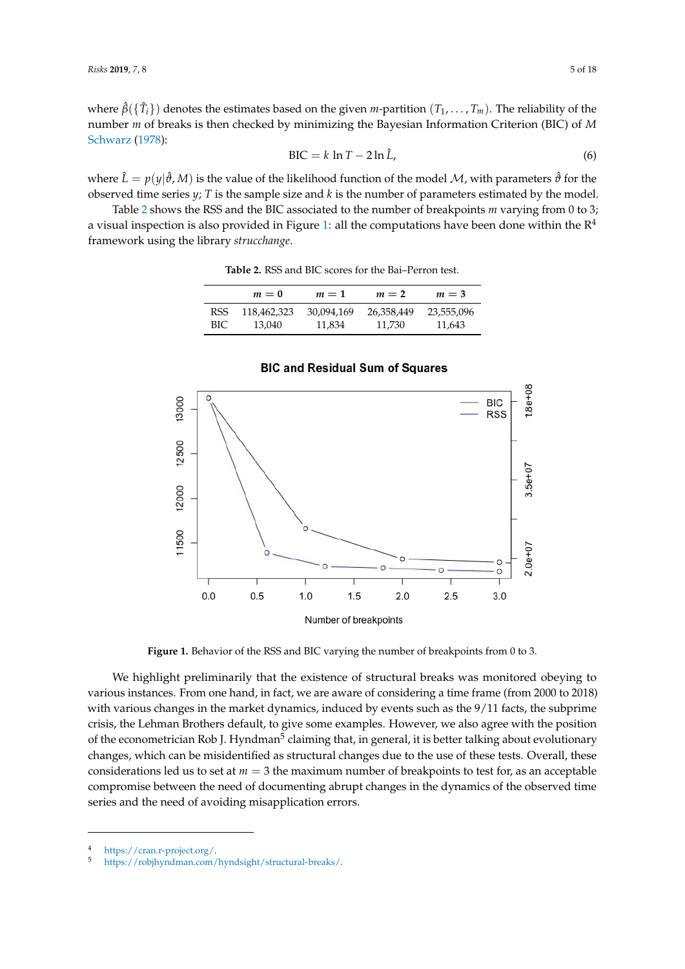where *β*ˆ({*T*ˆ *<sup>i</sup>*}) denotes the estimates based on the given *m*-partition (*T*1, . . . , *Tm*). The reliability of the number *m* of breaks is then checked by minimizing the Bayesian Information Criterion (BIC) of *M* [Schwarz](#page-17-12) [\(1978\)](#page-17-12):

$$
BIC = k \ln T - 2 \ln \hat{L}, \tag{6}
$$

where  $\hat{L} = p(y|\hat{\theta}, M)$  is the value of the likelihood function of the model M, with parameters  $\hat{\theta}$  for the observed time series *y*; *T* is the sample size and *k* is the number of parameters estimated by the model.

<span id="page-4-0"></span>Table [2](#page-4-0) shows the RSS and the BIC associated to the number of breakpoints *m* varying from 0 to 3; a visual inspection is also provided in Figure [1:](#page-4-1) all the computations have been done within the  $\mathbb{R}^4$ framework using the library *strucchange*.

|      | $m=0$       | $m=1$      | $m=2$      | $m=3$      |
|------|-------------|------------|------------|------------|
| RSS  | 118,462,323 | 30.094.169 | 26,358,449 | 23,555,096 |
| BIC. | 13.040      | 11,834     | 11.730     | 11,643     |

**Table 2.** RSS and BIC scores for the Bai–Perron test.

<span id="page-4-1"></span>

**BIC and Residual Sum of Squares** 

**Figure 1.** Behavior of the RSS and BIC varying the number of breakpoints from 0 to 3.

We highlight preliminarily that the existence of structural breaks was monitored obeying to various instances. From one hand, in fact, we are aware of considering a time frame (from 2000 to 2018) with various changes in the market dynamics, induced by events such as the 9/11 facts, the subprime crisis, the Lehman Brothers default, to give some examples. However, we also agree with the position of the econometrician Rob J. Hyndman<sup>5</sup> claiming that, in general, it is better talking about evolutionary changes, which can be misidentified as structural changes due to the use of these tests. Overall, these considerations led us to set at  $m = 3$  the maximum number of breakpoints to test for, as an acceptable compromise between the need of documenting abrupt changes in the dynamics of the observed time series and the need of avoiding misapplication errors.

<sup>4</sup> [https://cran.r-project.org/.](https://cran.r-project.org/)<br>5 https://robibyndman.com/

<sup>5</sup> [https://robjhyndman.com/hyndsight/structural-breaks/.](https://robjhyndman.com/hyndsight/structural-breaks/)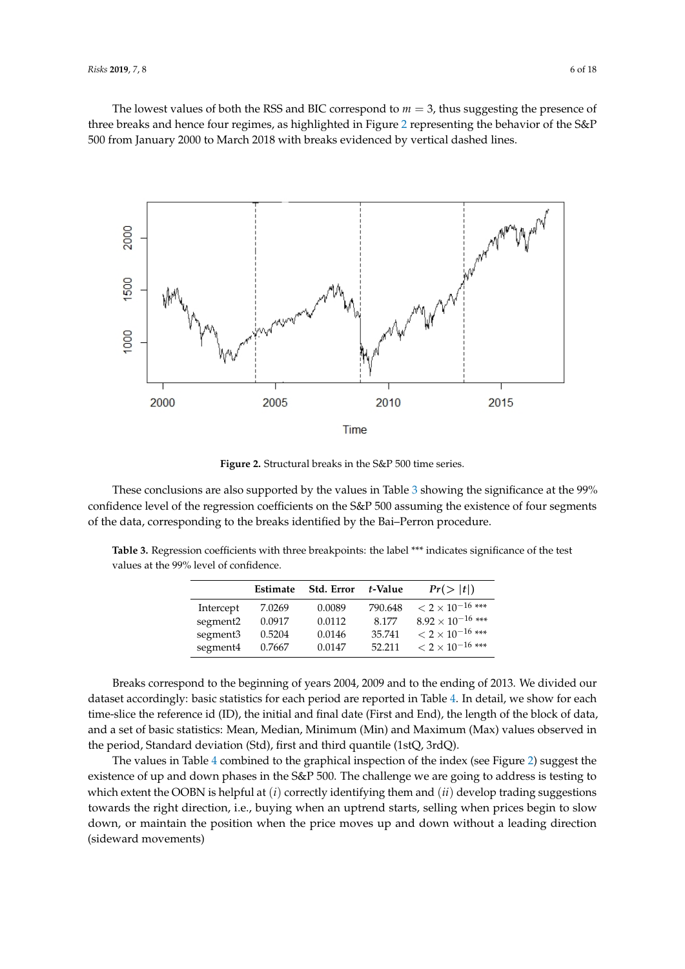<span id="page-5-0"></span>The lowest values of both the RSS and BIC correspond to *m* = 3, thus suggesting the presence of three breaks and hence four regimes, as highlighted in Figure [2](#page-5-0) representing the behavior of the S&P 500 from January 2000 to March 2018 with breaks evidenced by vertical dashed lines.



**Figure 2.** Structural breaks in the S&P 500 time series.

These conclusions are also supported by the values in Table [3](#page-5-1) showing the significance at the 99% confidence level of the regression coefficients on the S&P 500 assuming the existence of four segments of the data, corresponding to the breaks identified by the Bai–Perron procedure.

<span id="page-5-1"></span>**Table 3.** Regression coefficients with three breakpoints: the label \*\*\* indicates significance of the test values at the 99% level of confidence.

|                      | Estimate | Std. Error | t-Value | Pr(> t )                             |
|----------------------|----------|------------|---------|--------------------------------------|
| Intercept            | 7.0269   | 0.0089     | 790.648 | $<$ 2 $\times$ 10 <sup>-16</sup> *** |
| segment <sub>2</sub> | 0.0917   | 0.0112     | 8.177   | $8.92 \times 10^{-16}$ ***           |
| segment3             | 0.5204   | 0.0146     | 35.741  | $<$ 2 $\times$ 10 $^{-16}$ ***       |
| segment4             | 0.7667   | 0.0147     | 52.211  | $<$ 2 $\times$ 10 <sup>-16</sup> *** |

Breaks correspond to the beginning of years 2004, 2009 and to the ending of 2013. We divided our dataset accordingly: basic statistics for each period are reported in Table [4.](#page-6-0) In detail, we show for each time-slice the reference id (ID), the initial and final date (First and End), the length of the block of data, and a set of basic statistics: Mean, Median, Minimum (Min) and Maximum (Max) values observed in the period, Standard deviation (Std), first and third quantile (1stQ, 3rdQ).

The values in Table [4](#page-6-0) combined to the graphical inspection of the index (see Figure [2\)](#page-5-0) suggest the existence of up and down phases in the S&P 500. The challenge we are going to address is testing to which extent the OOBN is helpful at (*i*) correctly identifying them and (*ii*) develop trading suggestions towards the right direction, i.e., buying when an uptrend starts, selling when prices begin to slow down, or maintain the position when the price moves up and down without a leading direction (sideward movements)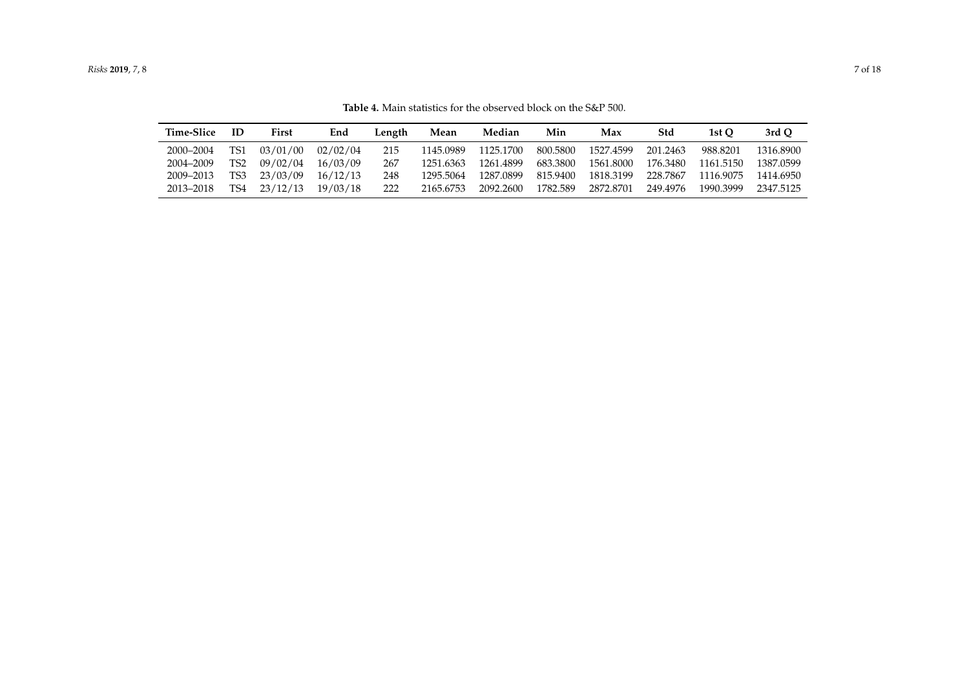| <b>Table 4.</b> Main statistics for the observed block on the S&P 500. |    |       |     |        |      |        |     |     |     |       |       |
|------------------------------------------------------------------------|----|-------|-----|--------|------|--------|-----|-----|-----|-------|-------|
| Time-Slice                                                             | ID | First | End | Length | Mean | Median | Min | Max | Std | 1st O | 3rd O |

**Table 4.** Main stat

<span id="page-6-0"></span>2000–2004 TS1 03/01/00 02/02/04 215 1145.0989 1125.1700 800.5800 1527.4599 201.2463 988.8201 1316.8900 2004–2009 TS2 09/02/04 16/03/09 267 1251.6363 1261.4899 683.3800 1561.8000 176.3480 1161.5150 1387.0599 2009–2013 TS3 23/03/09 16/12/13 248 1295.5064 1287.0899 815.9400 1818.3199 228.7867 1116.9075 1414.6950 2013–2018 TS4 23/12/13 19/03/18 222 2165.6753 2092.2600 1782.589 2872.8701 249.4976 1990.3999 2347.5125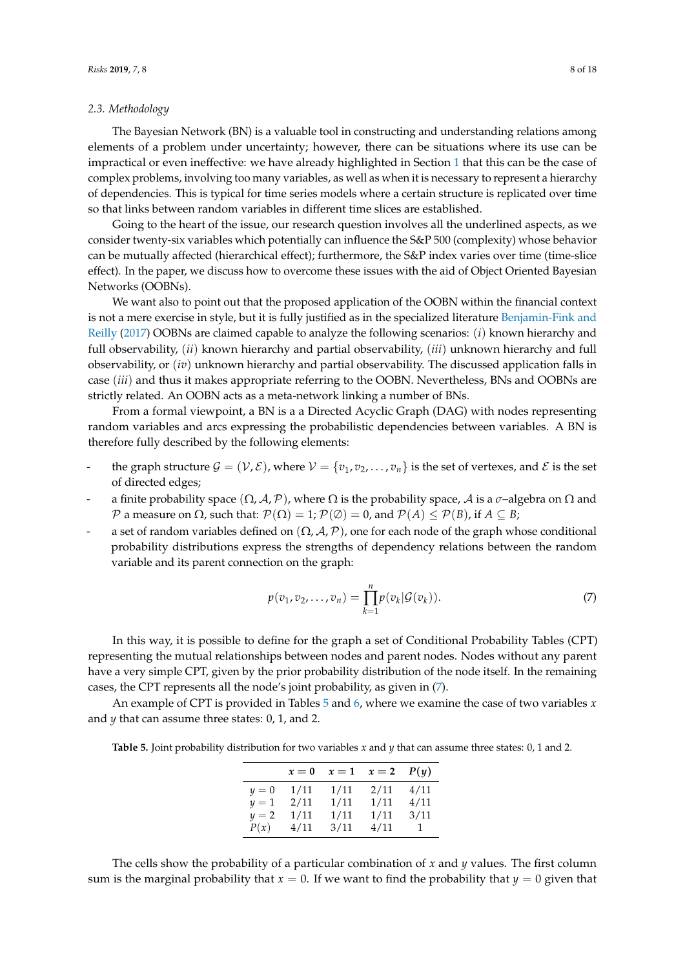# <span id="page-7-2"></span>*2.3. Methodology*

The Bayesian Network (BN) is a valuable tool in constructing and understanding relations among elements of a problem under uncertainty; however, there can be situations where its use can be impractical or even ineffective: we have already highlighted in Section [1](#page-0-0) that this can be the case of complex problems, involving too many variables, as well as when it is necessary to represent a hierarchy of dependencies. This is typical for time series models where a certain structure is replicated over time so that links between random variables in different time slices are established.

Going to the heart of the issue, our research question involves all the underlined aspects, as we consider twenty-six variables which potentially can influence the S&P 500 (complexity) whose behavior can be mutually affected (hierarchical effect); furthermore, the S&P index varies over time (time-slice effect). In the paper, we discuss how to overcome these issues with the aid of Object Oriented Bayesian Networks (OOBNs).

We want also to point out that the proposed application of the OOBN within the financial context is not a mere exercise in style, but it is fully justified as in the specialized literature [Benjamin-Fink and](#page-16-10) [Reilly](#page-16-10) [\(2017\)](#page-16-10) OOBNs are claimed capable to analyze the following scenarios: (*i*) known hierarchy and full observability, (*ii*) known hierarchy and partial observability, (*iii*) unknown hierarchy and full observability, or (*iv*) unknown hierarchy and partial observability. The discussed application falls in case (*iii*) and thus it makes appropriate referring to the OOBN. Nevertheless, BNs and OOBNs are strictly related. An OOBN acts as a meta-network linking a number of BNs.

From a formal viewpoint, a BN is a a Directed Acyclic Graph (DAG) with nodes representing random variables and arcs expressing the probabilistic dependencies between variables. A BN is therefore fully described by the following elements:

- the graph structure  $G = (V, E)$ , where  $V = \{v_1, v_2, \ldots, v_n\}$  is the set of vertexes, and  $E$  is the set of directed edges;
- a finite probability space  $(\Omega, \mathcal{A}, \mathcal{P})$ , where  $\Omega$  is the probability space,  $\mathcal{A}$  is a  $\sigma$ –algebra on  $\Omega$  and  $P$  a measure on Ω, such that:  $P(Ω) = 1; P(Ø) = 0$ , and  $P(A) ≤ P(B)$ , if  $A ⊆ B$ ;
- a set of random variables defined on  $(\Omega, \mathcal{A}, \mathcal{P})$ , one for each node of the graph whose conditional probability distributions express the strengths of dependency relations between the random variable and its parent connection on the graph:

<span id="page-7-0"></span>
$$
p(v_1, v_2, \dots, v_n) = \prod_{k=1}^n p(v_k | \mathcal{G}(v_k)).
$$
\n(7)

In this way, it is possible to define for the graph a set of Conditional Probability Tables (CPT) representing the mutual relationships between nodes and parent nodes. Nodes without any parent have a very simple CPT, given by the prior probability distribution of the node itself. In the remaining cases, the CPT represents all the node's joint probability, as given in [\(7\)](#page-7-0).

An example of CPT is provided in Tables [5](#page-7-1) and [6,](#page-8-0) where we examine the case of two variables *x* and *y* that can assume three states: 0, 1, and 2.

<span id="page-7-1"></span>**Table 5.** Joint probability distribution for two variables *x* and *y* that can assume three states: 0, 1 and 2.

|       | $x=0$ | $x=1$ | $x=2$ | P(y) |
|-------|-------|-------|-------|------|
| $y=0$ | 1/11  | 1/11  | 2/11  | 4/11 |
| $y=1$ | 2/11  | 1/11  | 1/11  | 4/11 |
| $y=2$ | 1/11  | 1/11  | 1/11  | 3/11 |
| P(x)  | 4/11  | 3/11  | 4/11  | 1    |

The cells show the probability of a particular combination of *x* and *y* values. The first column sum is the marginal probability that  $x = 0$ . If we want to find the probability that  $y = 0$  given that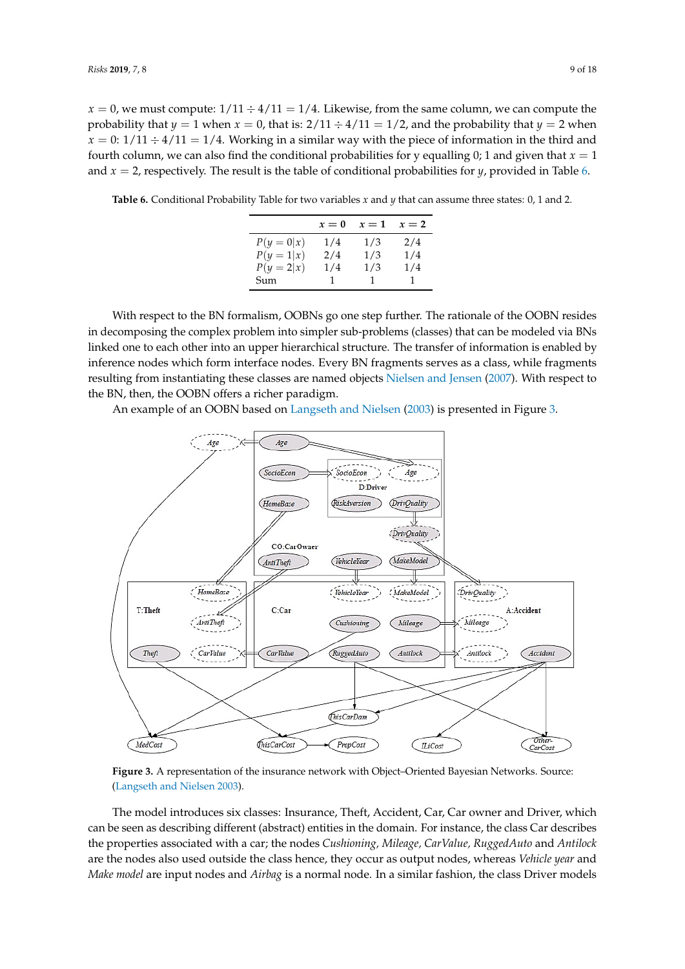$x = 0$ , we must compute:  $1/11 \div 4/11 = 1/4$ . Likewise, from the same column, we can compute the probability that  $y = 1$  when  $x = 0$ , that is:  $2/11 \div 4/11 = 1/2$ , and the probability that  $y = 2$  when  $x = 0: 1/11 \div 4/11 = 1/4$ . Working in a similar way with the piece of information in the third and fourth column, we can also find the conditional probabilities for y equalling 0; 1 and given that  $x = 1$ and *x* = 2, respectively. The result is the table of conditional probabilities for *y*, provided in Table [6.](#page-8-0)

<span id="page-8-0"></span>**Table 6.** Conditional Probability Table for two variables *x* and *y* that can assume three states: 0, 1 and 2.

|            | $x=0$ | $x=1$ | $x=2$ |
|------------|-------|-------|-------|
| $P(y=0 x)$ | 1/4   | 1/3   | 2/4   |
| $P(y=1 x)$ | 2/4   | 1/3   | 1/4   |
| $P(y=2 x)$ | 1/4   | 1/3   | 1/4   |
| Sum        | 1     | 1     |       |

With respect to the BN formalism, OOBNs go one step further. The rationale of the OOBN resides in decomposing the complex problem into simpler sub-problems (classes) that can be modeled via BNs linked one to each other into an upper hierarchical structure. The transfer of information is enabled by inference nodes which form interface nodes. Every BN fragments serves as a class, while fragments resulting from instantiating these classes are named objects [Nielsen and Jensen](#page-17-13) [\(2007\)](#page-17-13). With respect to the BN, then, the OOBN offers a richer paradigm.

An example of an OOBN based on [Langseth and Nielsen](#page-16-11) [\(2003\)](#page-16-11) is presented in Figure [3.](#page-8-1)

<span id="page-8-1"></span>

**Figure 3.** A representation of the insurance network with Object–Oriented Bayesian Networks. Source: [\(Langseth and Nielsen](#page-16-11) [2003\)](#page-16-11).

The model introduces six classes: Insurance, Theft, Accident, Car, Car owner and Driver, which can be seen as describing different (abstract) entities in the domain. For instance, the class Car describes the properties associated with a car; the nodes *Cushioning, Mileage, CarValue, RuggedAuto* and *Antilock* are the nodes also used outside the class hence, they occur as output nodes, whereas *Vehicle year* and *Make model* are input nodes and *Airbag* is a normal node. In a similar fashion, the class Driver models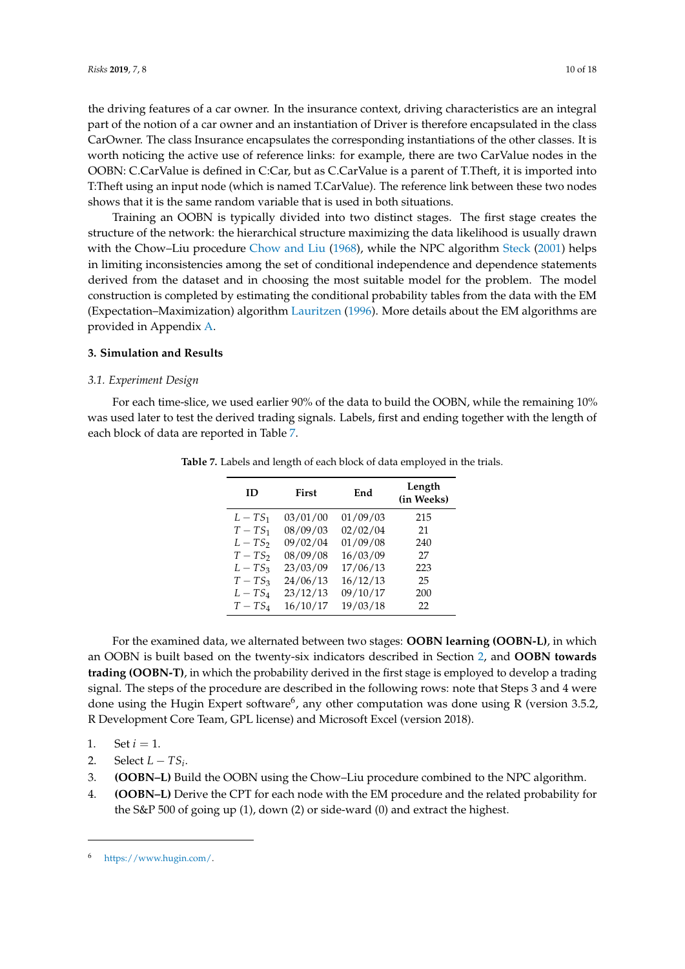the driving features of a car owner. In the insurance context, driving characteristics are an integral part of the notion of a car owner and an instantiation of Driver is therefore encapsulated in the class CarOwner. The class Insurance encapsulates the corresponding instantiations of the other classes. It is worth noticing the active use of reference links: for example, there are two CarValue nodes in the OOBN: C.CarValue is defined in C:Car, but as C.CarValue is a parent of T.Theft, it is imported into T:Theft using an input node (which is named T.CarValue). The reference link between these two nodes shows that it is the same random variable that is used in both situations.

Training an OOBN is typically divided into two distinct stages. The first stage creates the structure of the network: the hierarchical structure maximizing the data likelihood is usually drawn with the Chow–Liu procedure [Chow and Liu](#page-16-12) [\(1968\)](#page-16-12), while the NPC algorithm [Steck](#page-17-14) [\(2001\)](#page-17-14) helps in limiting inconsistencies among the set of conditional independence and dependence statements derived from the dataset and in choosing the most suitable model for the problem. The model construction is completed by estimating the conditional probability tables from the data with the EM (Expectation–Maximization) algorithm [Lauritzen](#page-17-15) [\(1996\)](#page-17-15). More details about the EM algorithms are provided in Appendix [A.](#page-15-1)

#### <span id="page-9-0"></span>**3. Simulation and Results**

#### <span id="page-9-2"></span>*3.1. Experiment Design*

<span id="page-9-1"></span>For each time-slice, we used earlier 90% of the data to build the OOBN, while the remaining 10% was used later to test the derived trading signals. Labels, first and ending together with the length of each block of data are reported in Table [7.](#page-9-1)

| ID       | <b>First</b> | End      | Length<br>(in Weeks) |
|----------|--------------|----------|----------------------|
| $L-TS_1$ | 03/01/00     | 01/09/03 | 215                  |
| $T-TS_1$ | 08/09/03     | 02/02/04 | 21                   |
| $L-TS_2$ | 09/02/04     | 01/09/08 | 240                  |
| $T-TS_2$ | 08/09/08     | 16/03/09 | 27                   |
| $L-TS_3$ | 23/03/09     | 17/06/13 | 223                  |
| $T-TS_3$ | 24/06/13     | 16/12/13 | 25                   |
| $L-TS_4$ | 23/12/13     | 09/10/17 | 200                  |
| $T-TS4$  | 16/10/17     | 19/03/18 | 22                   |

**Table 7.** Labels and length of each block of data employed in the trials.

For the examined data, we alternated between two stages: **OOBN learning (OOBN-L)**, in which an OOBN is built based on the twenty-six indicators described in Section [2,](#page-1-0) and **OOBN towards trading (OOBN-T)**, in which the probability derived in the first stage is employed to develop a trading signal. The steps of the procedure are described in the following rows: note that Steps 3 and 4 were done using the Hugin Expert software<sup>6</sup>, any other computation was done using R (version 3.5.2, R Development Core Team, GPL license) and Microsoft Excel (version 2018).

1. Set  $i = 1$ .

2. Select  $L - TS_i$ .

- 3. **(OOBN–L)** Build the OOBN using the Chow–Liu procedure combined to the NPC algorithm.
- 4. **(OOBN–L)** Derive the CPT for each node with the EM procedure and the related probability for the S&P 500 of going up (1), down (2) or side-ward (0) and extract the highest.

<sup>6</sup> [https://www.hugin.com/.](https://www.hugin.com/)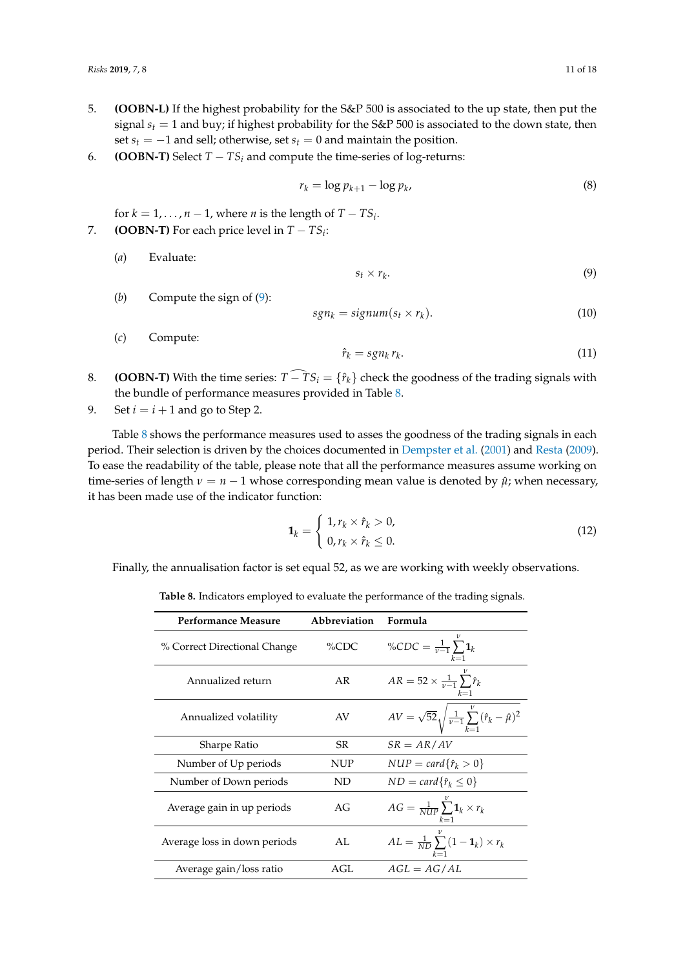- 5. **(OOBN-L)** If the highest probability for the S&P 500 is associated to the up state, then put the signal  $s_t = 1$  and buy; if highest probability for the S&P 500 is associated to the down state, then set  $s$ <sup>*t*</sup> = −1 and sell; otherwise, set  $s$ <sup>*t*</sup> = 0 and maintain the position.
- 6. **(OOBN-T)** Select *T* − *TS<sup>i</sup>* and compute the time-series of log-returns:

$$
r_k = \log p_{k+1} - \log p_k,\tag{8}
$$

for  $k = 1, ..., n - 1$ , where *n* is the length of  $T - TS_i$ .

- 7. **(OOBN-T)** For each price level in  $T TS_i$ :
	- (*a*) Evaluate:

<span id="page-10-0"></span>
$$
s_t \times r_k. \tag{9}
$$

(*b*) Compute the sign of [\(9\)](#page-10-0):

<span id="page-10-2"></span>
$$
sgn_k = signum(s_t \times r_k). \tag{10}
$$

- (*c*) Compute:  $\hat{r}_k = sgn_k r_k$ .  $(11)$
- 8. **(OOBN-T)** With the time series:  $T TS_i = \{r_k\}$  check the goodness of the trading signals with the bundle of performance measures provided in Table [8.](#page-10-1)
- 9. Set  $i = i + 1$  and go to Step 2.

Table [8](#page-10-1) shows the performance measures used to asses the goodness of the trading signals in each period. Their selection is driven by the choices documented in [Dempster et al.](#page-16-13) [\(2001\)](#page-16-13) and [Resta](#page-17-16) [\(2009\)](#page-17-16). To ease the readability of the table, please note that all the performance measures assume working on time-series of length  $\nu = n - 1$  whose corresponding mean value is denoted by  $\hat{\mu}$ ; when necessary, it has been made use of the indicator function:

$$
\mathbf{1}_k = \begin{cases} 1, r_k \times \hat{r}_k > 0, \\ 0, r_k \times \hat{r}_k \le 0. \end{cases}
$$
 (12)

<span id="page-10-1"></span>Finally, the annualisation factor is set equal 52, as we are working with weekly observations.

**Table 8.** Indicators employed to evaluate the performance of the trading signals.

| <b>Performance Measure</b>   | <b>Abbreviation</b> | Formula                                                                        |
|------------------------------|---------------------|--------------------------------------------------------------------------------|
| % Correct Directional Change | %CDC                | %CDC = $\frac{1}{v-1} \sum_{k=1}^{v} 1_k$                                      |
| Annualized return            | AR                  | $AR = 52 \times \frac{1}{v-1} \sum \hat{r}_k$<br>$k=1$                         |
| Annualized volatility        | AV                  | $AV = \sqrt{52} \sqrt{\frac{1}{v-1} \sum_{k=1}^{v} (\hat{r}_k - \hat{\mu})^2}$ |
| Sharpe Ratio                 | SR                  | $SR = AR/AV$                                                                   |
| Number of Up periods         | <b>NUP</b>          | $NUP = card{ \hat{r}_k > 0 }$                                                  |
| Number of Down periods       | ND                  | $ND = card{ \hat{r}_k \leq 0 }$                                                |
| Average gain in up periods   | AG                  | $AG = \frac{1}{NIP} \sum_{k=1}^{N} \mathbf{1}_k \times r_k$                    |
| Average loss in down periods | AL.                 | $AL = \frac{1}{ND} \sum (1 - \mathbf{1}_k) \times r_k$<br>$k=1$                |
| Average gain/loss ratio      | AGL                 | $AGL = AG/AL$                                                                  |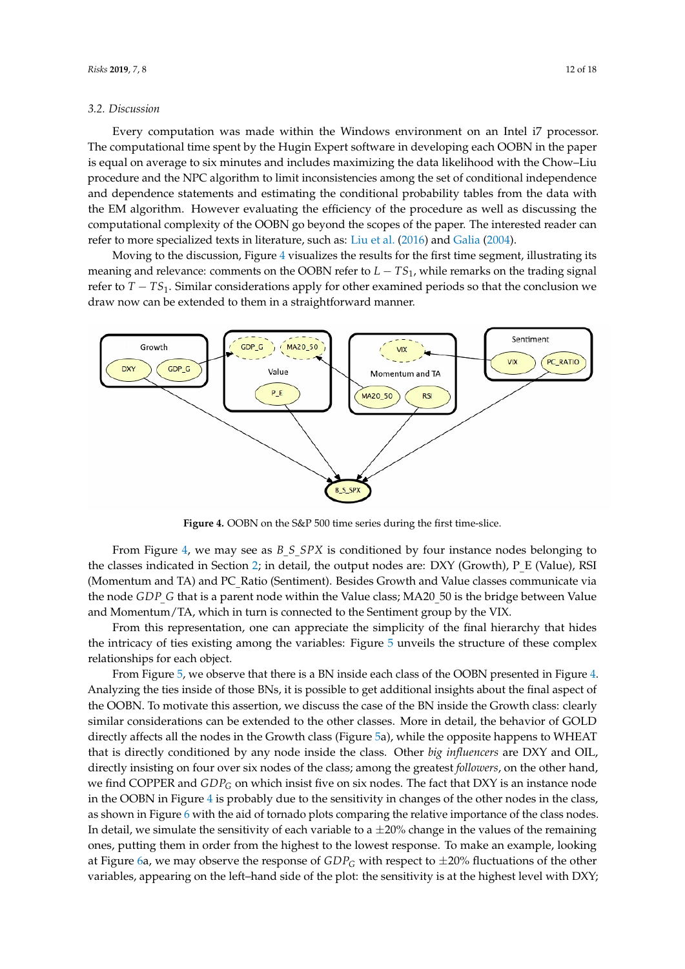# *3.2. Discussion*

Every computation was made within the Windows environment on an Intel i7 processor. The computational time spent by the Hugin Expert software in developing each OOBN in the paper is equal on average to six minutes and includes maximizing the data likelihood with the Chow–Liu procedure and the NPC algorithm to limit inconsistencies among the set of conditional independence and dependence statements and estimating the conditional probability tables from the data with the EM algorithm. However evaluating the efficiency of the procedure as well as discussing the computational complexity of the OOBN go beyond the scopes of the paper. The interested reader can refer to more specialized texts in literature, such as: [Liu et al.](#page-17-17) [\(2016\)](#page-17-17) and [Galia](#page-16-14) [\(2004\)](#page-16-14).

Moving to the discussion, Figure [4](#page-11-0) visualizes the results for the first time segment, illustrating its meaning and relevance: comments on the OOBN refer to *L* − *TS*1, while remarks on the trading signal refer to *T* − *TS*1. Similar considerations apply for other examined periods so that the conclusion we draw now can be extended to them in a straightforward manner.

<span id="page-11-0"></span>

**Figure 4.** OOBN on the S&P 500 time series during the first time-slice.

From Figure [4,](#page-11-0) we may see as *B S SPX* is conditioned by four instance nodes belonging to the classes indicated in Section [2;](#page-1-0) in detail, the output nodes are: DXY (Growth), P\_E (Value), RSI (Momentum and TA) and PC\_Ratio (Sentiment). Besides Growth and Value classes communicate via the node *GDP G* that is a parent node within the Value class; MA20 50 is the bridge between Value and Momentum/TA, which in turn is connected to the Sentiment group by the VIX.

From this representation, one can appreciate the simplicity of the final hierarchy that hides the intricacy of ties existing among the variables: Figure [5](#page-12-0) unveils the structure of these complex relationships for each object.

From Figure [5,](#page-12-0) we observe that there is a BN inside each class of the OOBN presented in Figure [4.](#page-11-0) Analyzing the ties inside of those BNs, it is possible to get additional insights about the final aspect of the OOBN. To motivate this assertion, we discuss the case of the BN inside the Growth class: clearly similar considerations can be extended to the other classes. More in detail, the behavior of GOLD directly affects all the nodes in the Growth class (Figure [5a](#page-12-0)), while the opposite happens to WHEAT that is directly conditioned by any node inside the class. Other *big influencers* are DXY and OIL, directly insisting on four over six nodes of the class; among the greatest *followers*, on the other hand, we find COPPER and *GDP<sup>G</sup>* on which insist five on six nodes. The fact that DXY is an instance node in the OOBN in Figure [4](#page-11-0) is probably due to the sensitivity in changes of the other nodes in the class, as shown in Figure [6](#page-13-0) with the aid of tornado plots comparing the relative importance of the class nodes. In detail, we simulate the sensitivity of each variable to a  $\pm 20\%$  change in the values of the remaining ones, putting them in order from the highest to the lowest response. To make an example, looking at Figure [6a](#page-13-0), we may observe the response of  $GDP<sub>G</sub>$  with respect to  $\pm 20\%$  fluctuations of the other variables, appearing on the left–hand side of the plot: the sensitivity is at the highest level with DXY;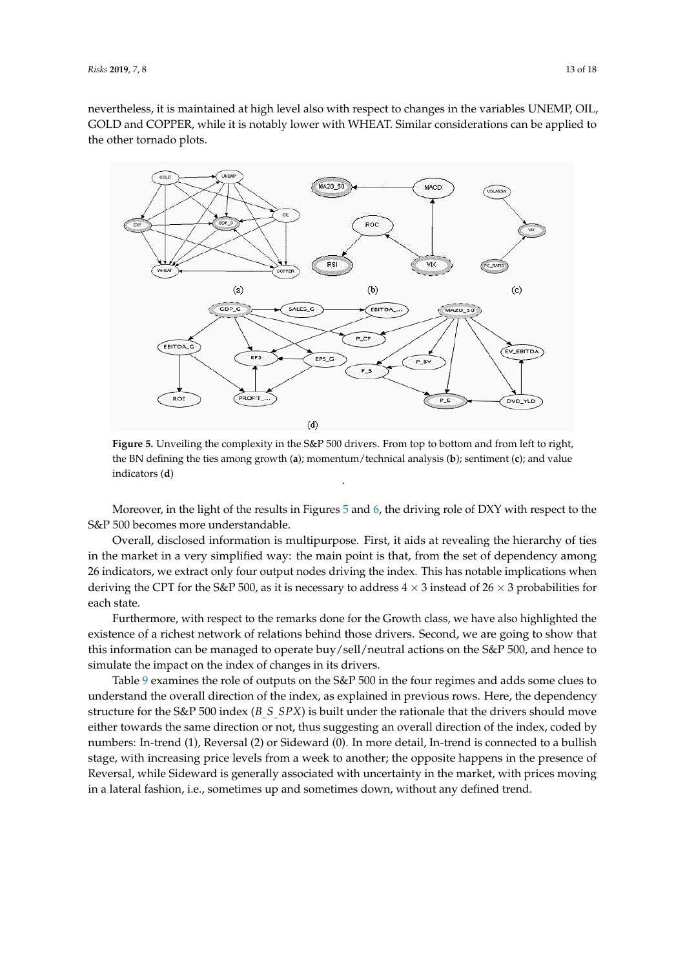nevertheless, it is maintained at high level also with respect to changes in the variables UNEMP, OIL, GOLD and COPPER, while it is notably lower with WHEAT. Similar considerations can be applied to the other tornado plots.

<span id="page-12-0"></span>

**Figure 5.** Unveiling the complexity in the S&P 500 drivers. From top to bottom and from left to right, the BN defining the ties among growth (**a**); momentum/technical analysis (**b**); sentiment (**c**); and value indicators (**d**) .

Moreover, in the light of the results in Figures [5](#page-12-0) and [6,](#page-13-0) the driving role of DXY with respect to the S&P 500 becomes more understandable.

Overall, disclosed information is multipurpose. First, it aids at revealing the hierarchy of ties in the market in a very simplified way: the main point is that, from the set of dependency among 26 indicators, we extract only four output nodes driving the index. This has notable implications when deriving the CPT for the S&P 500, as it is necessary to address  $4 \times 3$  instead of  $26 \times 3$  probabilities for each state.

Furthermore, with respect to the remarks done for the Growth class, we have also highlighted the existence of a richest network of relations behind those drivers. Second, we are going to show that this information can be managed to operate buy/sell/neutral actions on the S&P 500, and hence to simulate the impact on the index of changes in its drivers.

Table [9](#page-14-0) examines the role of outputs on the S&P 500 in the four regimes and adds some clues to understand the overall direction of the index, as explained in previous rows. Here, the dependency structure for the S&P 500 index (*B*\_*S*\_*SPX*) is built under the rationale that the drivers should move either towards the same direction or not, thus suggesting an overall direction of the index, coded by numbers: In-trend (1), Reversal (2) or Sideward (0). In more detail, In-trend is connected to a bullish stage, with increasing price levels from a week to another; the opposite happens in the presence of Reversal, while Sideward is generally associated with uncertainty in the market, with prices moving in a lateral fashion, i.e., sometimes up and sometimes down, without any defined trend.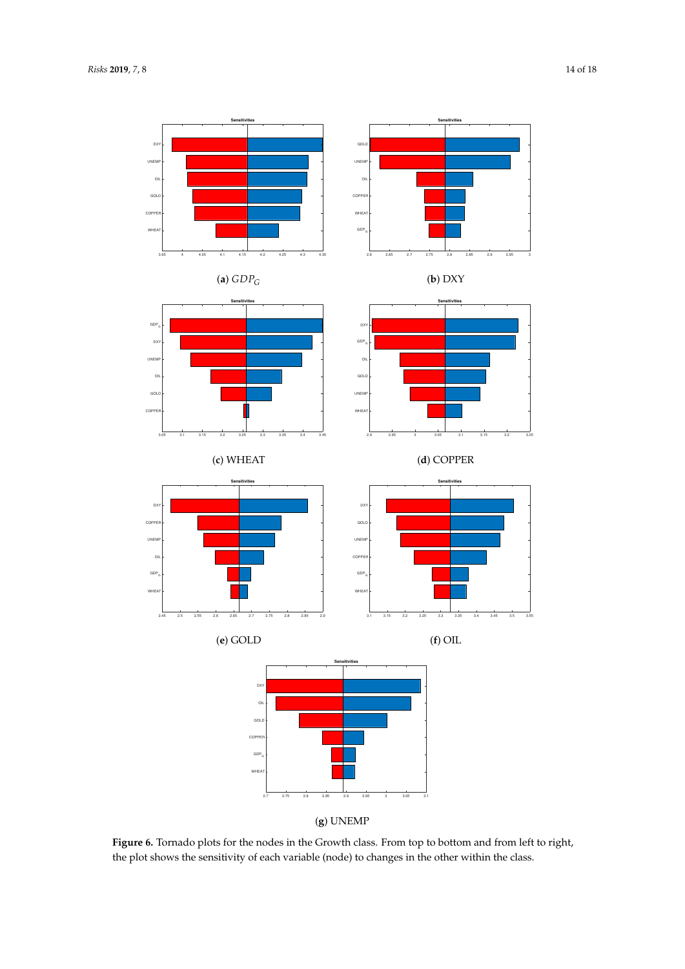<span id="page-13-0"></span>

**Figure 6.** Tornado plots for the nodes in the Growth class. From top to bottom and from left to right, the plot shows the sensitivity of each variable (node) to changes in the other within the class.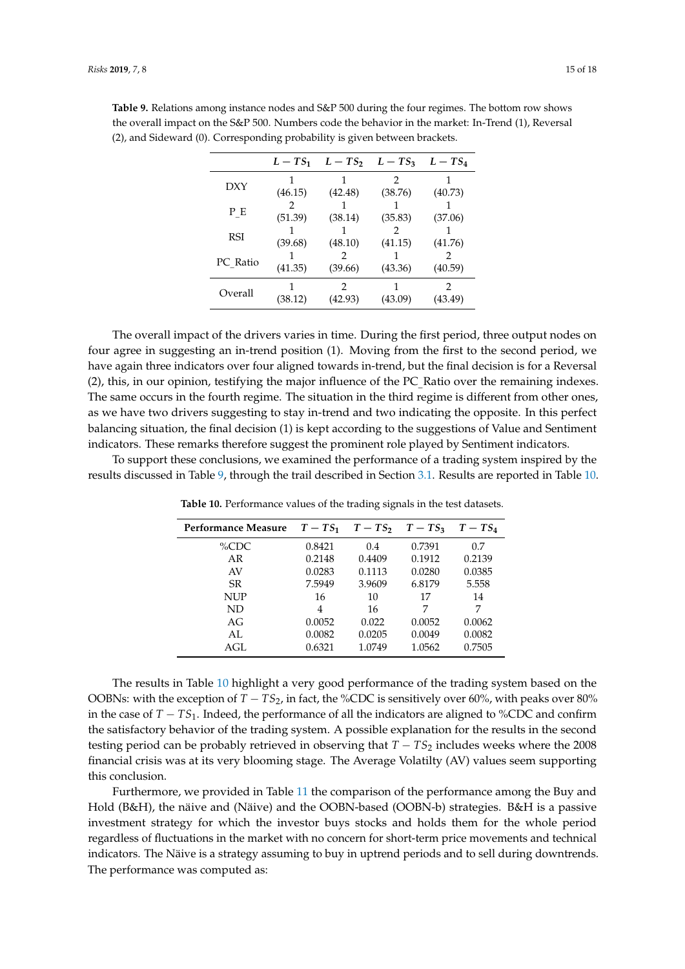|            | $L-TS_1$ | $L - TS_2$ $L - TS_3$ |         | $L-TS_4$ |
|------------|----------|-----------------------|---------|----------|
| DXY        |          |                       | 2       |          |
|            | (46.15)  | (42.48)               | (38.76) | (40.73)  |
|            |          |                       |         |          |
| ΡЕ         | (51.39)  | (38.14)               | (35.83) | (37.06)  |
| <b>RSI</b> |          |                       |         |          |
|            | (39.68)  | (48.10)               | (41.15) | (41.76)  |
|            |          |                       |         |          |
| PC Ratio   | (41.35)  | (39.66)               | (43.36) | (40.59)  |
| Overall    |          | 2                     |         | 2        |
|            | (38.12)  | (42.93)               | (43.09) | (43.49)  |

<span id="page-14-0"></span>**Table 9.** Relations among instance nodes and S&P 500 during the four regimes. The bottom row shows the overall impact on the S&P 500. Numbers code the behavior in the market: In-Trend (1), Reversal (2), and Sideward (0). Corresponding probability is given between brackets.

The overall impact of the drivers varies in time. During the first period, three output nodes on four agree in suggesting an in-trend position (1). Moving from the first to the second period, we have again three indicators over four aligned towards in-trend, but the final decision is for a Reversal (2), this, in our opinion, testifying the major influence of the PC\_Ratio over the remaining indexes. The same occurs in the fourth regime. The situation in the third regime is different from other ones, as we have two drivers suggesting to stay in-trend and two indicating the opposite. In this perfect balancing situation, the final decision (1) is kept according to the suggestions of Value and Sentiment indicators. These remarks therefore suggest the prominent role played by Sentiment indicators.

<span id="page-14-1"></span>To support these conclusions, we examined the performance of a trading system inspired by the results discussed in Table [9,](#page-14-0) through the trail described in Section [3.1.](#page-9-2) Results are reported in Table [10.](#page-14-1)

|        |        |        | $T-TS_4$                   |
|--------|--------|--------|----------------------------|
| 0.8421 | 0.4    | 0.7391 | 0.7                        |
| 0.2148 | 0.4409 | 0.1912 | 0.2139                     |
| 0.0283 | 0.1113 | 0.0280 | 0.0385                     |
| 7.5949 | 3.9609 | 6.8179 | 5.558                      |
| 16     | 10     | 17     | 14                         |
| 4      | 16     | 7      | 7                          |
| 0.0052 | 0.022  | 0.0052 | 0.0062                     |
| 0.0082 | 0.0205 | 0.0049 | 0.0082                     |
| 0.6321 | 1.0749 | 1.0562 | 0.7505                     |
|        |        |        | $T-TS_1$ $T-TS_2$ $T-TS_3$ |

**Table 10.** Performance values of the trading signals in the test datasets.

The results in Table [10](#page-14-1) highlight a very good performance of the trading system based on the OOBNs: with the exception of  $T - TS_2$ , in fact, the %CDC is sensitively over 60%, with peaks over 80% in the case of *T* − *TS*1. Indeed, the performance of all the indicators are aligned to %CDC and confirm the satisfactory behavior of the trading system. A possible explanation for the results in the second testing period can be probably retrieved in observing that  $T - T S<sub>2</sub>$  includes weeks where the 2008 financial crisis was at its very blooming stage. The Average Volatilty (AV) values seem supporting this conclusion.

Furthermore, we provided in Table [11](#page-15-2) the comparison of the performance among the Buy and Hold (B&H), the näive and (Näive) and the OOBN-based (OOBN-b) strategies. B&H is a passive investment strategy for which the investor buys stocks and holds them for the whole period regardless of fluctuations in the market with no concern for short-term price movements and technical indicators. The Näive is a strategy assuming to buy in uptrend periods and to sell during downtrends. The performance was computed as: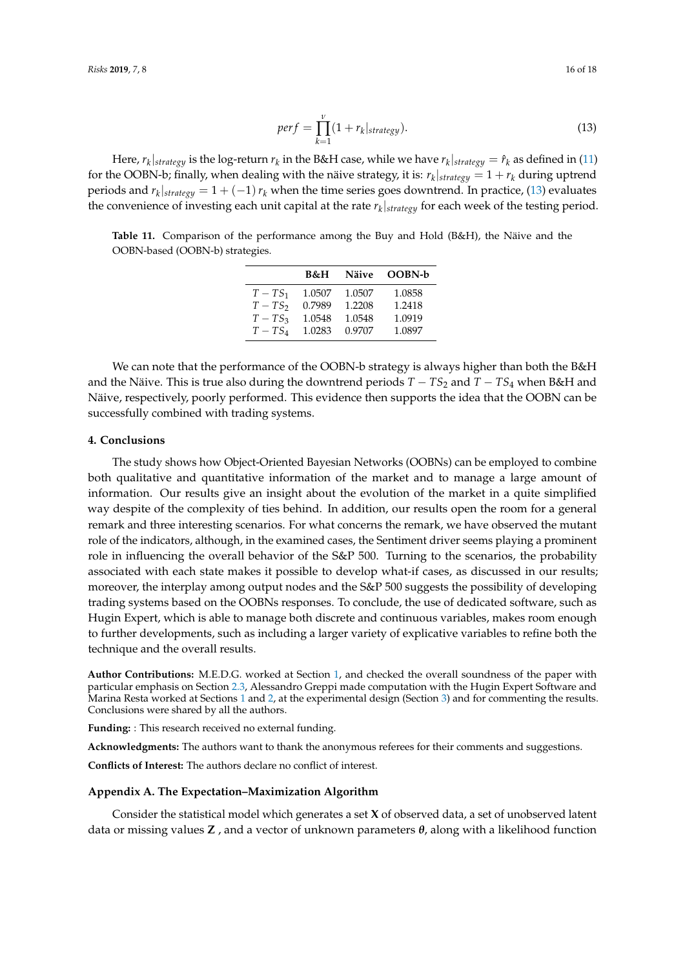<span id="page-15-3"></span>
$$
perf = \prod_{k=1}^{V} (1 + r_k |_{strategy}). \tag{13}
$$

Here,  $r_k|_{strategy}$  is the log-return  $r_k$  in the B&H case, while we have  $r_k|_{strategy}=\hat{r}_k$  as defined in [\(11\)](#page-10-2) for the OOBN-b; finally, when dealing with the näive strategy, it is:  $r_k|_{strategy} = 1 + r_k$  during uptrend periods and  $r_k|_{strategy} = 1 + (-1) r_k$  when the time series goes downtrend. In practice, [\(13\)](#page-15-3) evaluates the convenience of investing each unit capital at the rate *r<sup>k</sup>* |*strategy* for each week of the testing period.

<span id="page-15-2"></span>**Table 11.** Comparison of the performance among the Buy and Hold (B&H), the Näive and the OOBN-based (OOBN-b) strategies.

|          | B&H    | Näive  | <b>OOBN-b</b> |
|----------|--------|--------|---------------|
| $T-TS_1$ | 1.0507 | 1.0507 | 1.0858        |
| $T-TS_2$ | 0.7989 | 1.2208 | 1.2418        |
| $T-TS_3$ | 1.0548 | 1.0548 | 1.0919        |
| $T-TS_A$ | 1.0283 | 0.9707 | 1.0897        |

We can note that the performance of the OOBN-b strategy is always higher than both the B&H and the Näive. This is true also during the downtrend periods  $T - TS_2$  and  $T - TS_4$  when B&H and Näive, respectively, poorly performed. This evidence then supports the idea that the OOBN can be successfully combined with trading systems.

#### <span id="page-15-0"></span>**4. Conclusions**

The study shows how Object-Oriented Bayesian Networks (OOBNs) can be employed to combine both qualitative and quantitative information of the market and to manage a large amount of information. Our results give an insight about the evolution of the market in a quite simplified way despite of the complexity of ties behind. In addition, our results open the room for a general remark and three interesting scenarios. For what concerns the remark, we have observed the mutant role of the indicators, although, in the examined cases, the Sentiment driver seems playing a prominent role in influencing the overall behavior of the S&P 500. Turning to the scenarios, the probability associated with each state makes it possible to develop what-if cases, as discussed in our results; moreover, the interplay among output nodes and the S&P 500 suggests the possibility of developing trading systems based on the OOBNs responses. To conclude, the use of dedicated software, such as Hugin Expert, which is able to manage both discrete and continuous variables, makes room enough to further developments, such as including a larger variety of explicative variables to refine both the technique and the overall results.

**Author Contributions:** M.E.D.G. worked at Section [1,](#page-0-0) and checked the overall soundness of the paper with particular emphasis on Section [2.3,](#page-7-2) Alessandro Greppi made computation with the Hugin Expert Software and Marina Resta worked at Sections [1](#page-0-0) and [2,](#page-1-0) at the experimental design (Section [3\)](#page-9-0) and for commenting the results. Conclusions were shared by all the authors.

**Funding:** : This research received no external funding.

**Acknowledgments:** The authors want to thank the anonymous referees for their comments and suggestions.

**Conflicts of Interest:** The authors declare no conflict of interest.

# <span id="page-15-1"></span>**Appendix A. The Expectation–Maximization Algorithm**

Consider the statistical model which generates a set **X** of observed data, a set of unobserved latent data or missing values **Z** , and a vector of unknown parameters *θ*, along with a likelihood function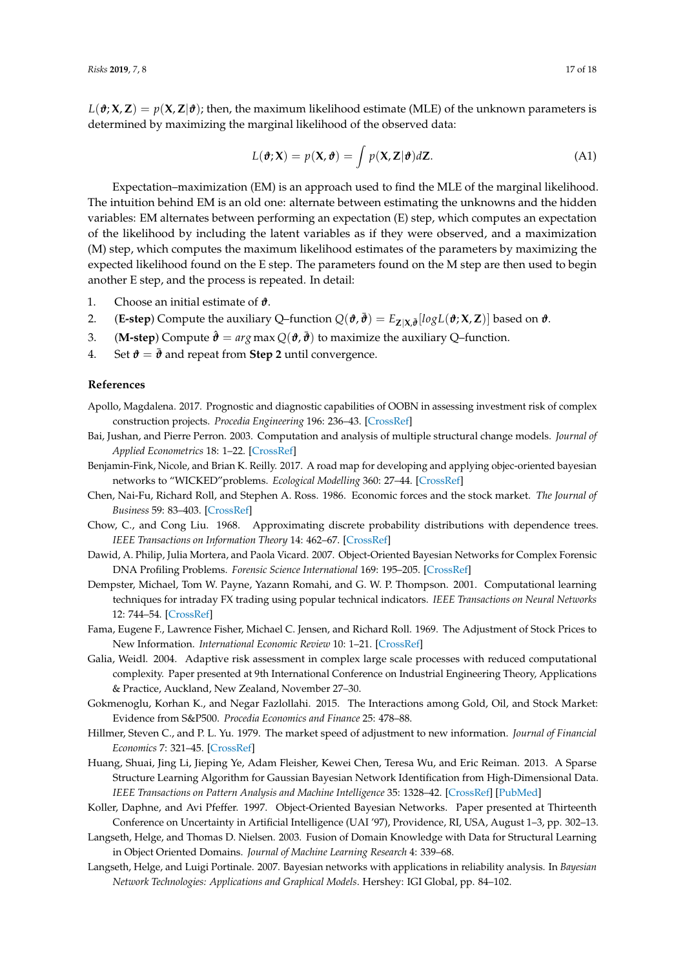$L(\theta; X, Z) = p(X, Z | \theta)$ ; then, the maximum likelihood estimate (MLE) of the unknown parameters is determined by maximizing the marginal likelihood of the observed data:

$$
L(\boldsymbol{\vartheta}; \mathbf{X}) = p(\mathbf{X}, \boldsymbol{\vartheta}) = \int p(\mathbf{X}, \mathbf{Z} | \boldsymbol{\vartheta}) d\mathbf{Z}.
$$
 (A1)

Expectation–maximization (EM) is an approach used to find the MLE of the marginal likelihood. The intuition behind EM is an old one: alternate between estimating the unknowns and the hidden variables: EM alternates between performing an expectation (E) step, which computes an expectation of the likelihood by including the latent variables as if they were observed, and a maximization (M) step, which computes the maximum likelihood estimates of the parameters by maximizing the expected likelihood found on the E step. The parameters found on the M step are then used to begin another E step, and the process is repeated. In detail:

- 1. Choose an initial estimate of *ϑ*.
- 2. (**E-step**) Compute the auxiliary Q–function  $Q(\hat{\boldsymbol{\theta}}, \bar{\boldsymbol{\theta}}) = E_{\mathbf{Z}|\mathbf{X}, \bar{\boldsymbol{\theta}}} [log L(\hat{\boldsymbol{\theta}}; \mathbf{X}, \mathbf{Z})]$  based on  $\boldsymbol{\theta}$ .
- 3. **(M-step)** Compute  $\hat{\theta} = arg \max Q(\theta, \bar{\theta})$  to maximize the auxiliary Q-function.
- 4. Set  $\mathbf{\hat{\theta}} = \bar{\mathbf{\hat{\theta}}}$  and repeat from **Step 2** until convergence.

# **References**

- <span id="page-16-2"></span>Apollo, Magdalena. 2017. Prognostic and diagnostic capabilities of OOBN in assessing investment risk of complex construction projects. *Procedia Engineering* 196: 236–43. [\[CrossRef\]](http://dx.doi.org/10.1016/j.proeng.2017.07.195)
- <span id="page-16-9"></span>Bai, Jushan, and Pierre Perron. 2003. Computation and analysis of multiple structural change models. *Journal of Applied Econometrics* 18: 1–22. [\[CrossRef\]](http://dx.doi.org/10.1002/jae.659)
- <span id="page-16-10"></span>Benjamin-Fink, Nicole, and Brian K. Reilly. 2017. A road map for developing and applying objec-oriented bayesian networks to "WICKED"problems. *Ecological Modelling* 360: 27–44. [\[CrossRef\]](http://dx.doi.org/10.1016/j.ecolmodel.2017.06.028)
- <span id="page-16-7"></span>Chen, Nai-Fu, Richard Roll, and Stephen A. Ross. 1986. Economic forces and the stock market. *The Journal of Business* 59: 83–403. [\[CrossRef\]](http://dx.doi.org/10.1086/296344)
- <span id="page-16-12"></span>Chow, C., and Cong Liu. 1968. Approximating discrete probability distributions with dependence trees. *IEEE Transactions on Information Theory* 14: 462–67. [\[CrossRef\]](http://dx.doi.org/10.1109/TIT.1968.1054142)
- <span id="page-16-3"></span>Dawid, A. Philip, Julia Mortera, and Paola Vicard. 2007. Object-Oriented Bayesian Networks for Complex Forensic DNA Profiling Problems. *Forensic Science International* 169: 195–205. [\[CrossRef\]](http://dx.doi.org/10.1016/j.forsciint.2006.08.028)
- <span id="page-16-13"></span>Dempster, Michael, Tom W. Payne, Yazann Romahi, and G. W. P. Thompson. 2001. Computational learning techniques for intraday FX trading using popular technical indicators. *IEEE Transactions on Neural Networks* 12: 744–54. [\[CrossRef\]](http://dx.doi.org/10.1109/72.935088)
- <span id="page-16-5"></span>Fama, Eugene F., Lawrence Fisher, Michael C. Jensen, and Richard Roll. 1969. The Adjustment of Stock Prices to New Information. *International Economic Review* 10: 1–21. [\[CrossRef\]](http://dx.doi.org/10.2307/2525569)
- <span id="page-16-14"></span>Galia, Weidl. 2004. Adaptive risk assessment in complex large scale processes with reduced computational complexity. Paper presented at 9th International Conference on Industrial Engineering Theory, Applications & Practice, Auckland, New Zealand, November 27–30.
- <span id="page-16-8"></span>Gokmenoglu, Korhan K., and Negar Fazlollahi. 2015. The Interactions among Gold, Oil, and Stock Market: Evidence from S&P500. *Procedia Economics and Finance* 25: 478–88.
- <span id="page-16-6"></span>Hillmer, Steven C., and P. L. Yu. 1979. The market speed of adjustment to new information. *Journal of Financial Economics* 7: 321–45. [\[CrossRef\]](http://dx.doi.org/10.1016/0304-405X(79)90002-3)
- <span id="page-16-1"></span>Huang, Shuai, Jing Li, Jieping Ye, Adam Fleisher, Kewei Chen, Teresa Wu, and Eric Reiman. 2013. A Sparse Structure Learning Algorithm for Gaussian Bayesian Network Identification from High-Dimensional Data. *IEEE Transactions on Pattern Analysis and Machine Intelligence* 35: 1328–42. [\[CrossRef\]](http://dx.doi.org/10.1109/TPAMI.2012.129) [\[PubMed\]](http://www.ncbi.nlm.nih.gov/pubmed/22665720)
- <span id="page-16-0"></span>Koller, Daphne, and Avi Pfeffer. 1997. Object-Oriented Bayesian Networks. Paper presented at Thirteenth Conference on Uncertainty in Artificial Intelligence (UAI '97), Providence, RI, USA, August 1–3, pp. 302–13.
- <span id="page-16-11"></span>Langseth, Helge, and Thomas D. Nielsen. 2003. Fusion of Domain Knowledge with Data for Structural Learning in Object Oriented Domains. *Journal of Machine Learning Research* 4: 339–68.
- <span id="page-16-4"></span>Langseth, Helge, and Luigi Portinale. 2007. Bayesian networks with applications in reliability analysis. In *Bayesian Network Technologies: Applications and Graphical Models*. Hershey: IGI Global, pp. 84–102.